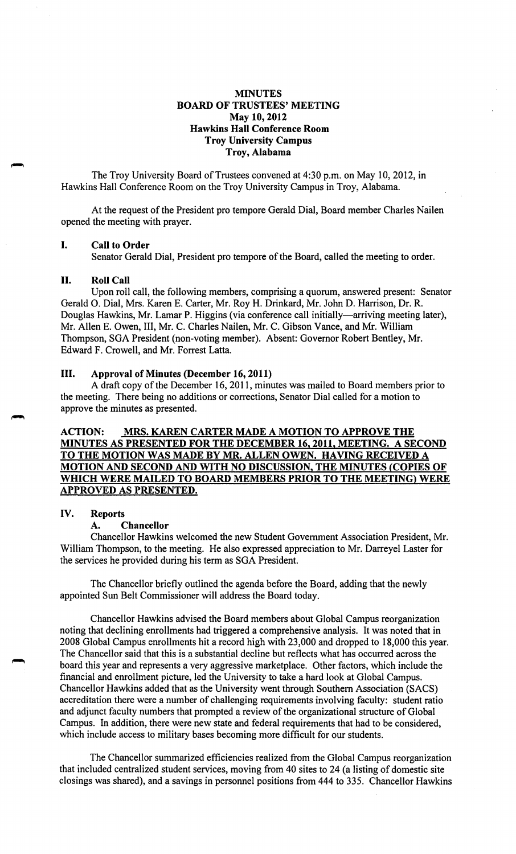# **MINUTES BOARD OF TRUSTEES' MEETING May 10, 2012 Hawkins Hall Conference Room Troy University Campus Troy, Alabama**

The Troy University Board of Trustees convened at 4:30 p.m. on May 10, 2012, in Hawkins Hall Conference Room on the Troy University Campus in Troy, Alabama.

At the request of the President pro tempore Gerald Dial, Board member Charles Nailen opened the meeting with prayer.

### I. **Call to Order**

Senator Gerald Dial, President pro tempore of the Board, called the meeting to order.

### II. **Roll Call**

Upon roll call, the following members, comprising a quorum, answered present: Senator Gerald 0. Dial, Mrs. Karen E. Carter, Mr. Roy H. Drinkard, Mr. John D. Harrison, Dr. R. Douglas Hawkins, Mr. Lamar P. Higgins (via conference call initially-arriving meeting later), Mr. Allen E. Owen, III, Mr. C. Charles Nailen, Mr. C. Gibson Vance, and Mr. William Thompson, SGA President (non-voting member). Absent: Governor Robert Bentley, Mr. Edward F. Crowell, and Mr. Forrest Latta.

# III. **Approval of Minutes (December 16, 2011)**

A draft copy of the December 16, 2011, minutes was mailed to Board members prior to the meeting. There being no additions or corrections, Senator Dial called for a motion to approve the minutes as presented.

# **ACTION: MRS. KAREN CARTER MADE A MOTION TO APPROVE THE MINUTES AS PRESENTED FOR THE DECEMBER 16, 2011, MEETING. A SECOND TO THE MOTION WAS MADE BY MR. ALLEN OWEN. HAVING RECEIVED A MOTION AND SECOND AND WITH NO DISCUSSION, THE MINUTES (COPIES OF WHICH WERE MAILED TO BOARD MEMBERS PRIOR TO THE MEETING} WERE APPROVED AS PRESENTED.**

#### **IV. Reports**

#### **A. Chancellor**

Chancellor Hawkins welcomed the new Student Government Association President, Mr. William Thompson, to the meeting. He also expressed appreciation to Mr. Darreyel Laster for the services he provided during his term as SGA President.

The Chancellor briefly outlined the agenda before the Board, adding that the newly appointed Sun Belt Commissioner will address the Board today.

Chancellor Hawkins advised the Board members about Global Campus reorganization noting that declining enrollments had triggered a comprehensive analysis. It was noted that in 2008 Global Campus enrollments hit a record high with 23,000 and dropped to 18,000 this year. The Chancellor said that this is a substantial decline but reflects what has occurred across the board this year and represents a very aggressive marketplace. Other factors, which include the financial and enrollment picture, led the University to take a hard look at Global Campus. Chancellor Hawkins added that as the University went through Southern Association (SACS) accreditation there were a number of challenging requirements involving faculty: student ratio and adjunct faculty numbers that prompted a review of the organizational structure of Global Campus. In addition, there were new state and federal requirements that had to be considered, which include access to military bases becoming more difficult for our students.

The Chancellor summarized efficiencies realized from the Global Campus reorganization that included centralized student services, moving from 40 sites to 24 (a listing of domestic site closings was shared), and a savings in personnel positions from 444 to 335. Chancellor Hawkins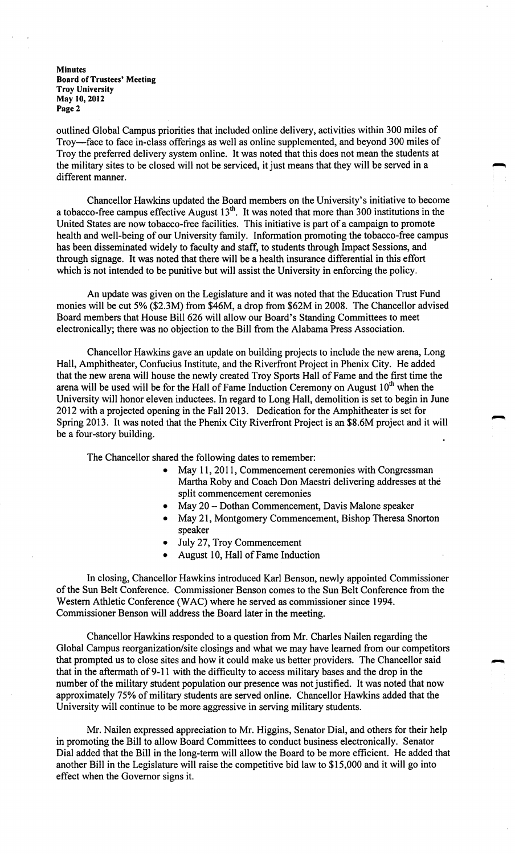outlined Global Campus priorities that included online delivery, activities within 300 miles of Troy-face to face in-class offerings as well as online supplemented, and beyond 300 miles of Troy the preferred delivery system online. It was noted that this does not mean the students at the military sites to be closed will not be serviced, it just means that they will be served in a different manner.

Chancellor Hawkins updated the Board members on the University's initiative to become a tobacco-free campus effective August  $13<sup>th</sup>$ . It was noted that more than 300 institutions in the United States are now tobacco-free facilities. This initiative is part of a campaign to promote health and well-being of our University family. Information promoting the tobacco-free campus has been disseminated widely to faculty and staff, to students through Impact Sessions, and through signage. It was noted that there will be a health insurance differential in this effort which is not intended to be punitive but will assist the University in enforcing the policy.

An update was given on the Legislature and it was noted that the Education Trust Fund monies will be cut 5% (\$2.3M) from \$46M, a drop from \$62M in 2008. The Chancellor advised Board members that House Bill 626 will allow our Board's Standing Committees to meet electronically; there was no objection to the Bill from the Alabama Press Association.

Chancellor Hawkins gave an update on building projects to include the new arena, Long Hall, Amphitheater, Confucius Institute, and the Riverfront Project in Phenix City. He added that the new arena will house the newly created Troy Sports Hall of Fame and the first time the arena will be used will be for the Hall of Fame Induction Ceremony on August  $10<sup>th</sup>$  when the University will honor eleven inductees. In regard to Long Hall, demolition is set to begin in June 2012 with a projected opening in the Fall 2013. Dedication for the Amphitheater is set for Spring 2013. It was noted that the Phenix City Riverfront Project is an \$8.6M project and it will be a four-story building.

The Chancellor shared the following dates to remember:

- May 11, 2011, Commencement ceremonies with Congressman Martha Roby and Coach Don Maestri delivering addresses at the split commencement ceremonies
- May 20 Dothan Commencement, Davis Malone speaker
- May 21, Montgomery Commencement, Bishop Theresa Snorton speaker
- July 27, Troy Commencement
- August 10, Hall of Fame Induction

In closing, Chancellor Hawkins introduced Karl Benson, newly appointed Commissioner of the Sun Belt Conference. Commissioner Benson comes to the Sun Belt Conference from the Western Athletic Conference (WAC) where he served as commissioner since 1994. Commissioner Benson will address the Board later in the meeting.

Chancellor Hawkins responded to a question from Mr. Charles Nailen regarding the Global Campus reorganization/site closings and what we may have learned from our competitors that prompted us to close sites and how it could make us better providers. The Chancellor said that in the aftermath of 9-11 with the difficulty to access military bases and the drop in the number of the military student population our presence was not justified. It was noted that now approximately 75% of military students are served online. Chancellor Hawkins added that the University will continue to be more aggressive in serving military students.

Mr. Nailen expressed appreciation to Mr. Higgins, Senator Dial, and others for their help in promoting the Bill to allow Board Committees to conduct business electronically. Senator Dial added that the Bill in the long-term will allow the Board to be more efficient. He added that another Bill in the Legislature will raise the competitive bid law to \$15,000 and it will go into effect when the Governor signs it.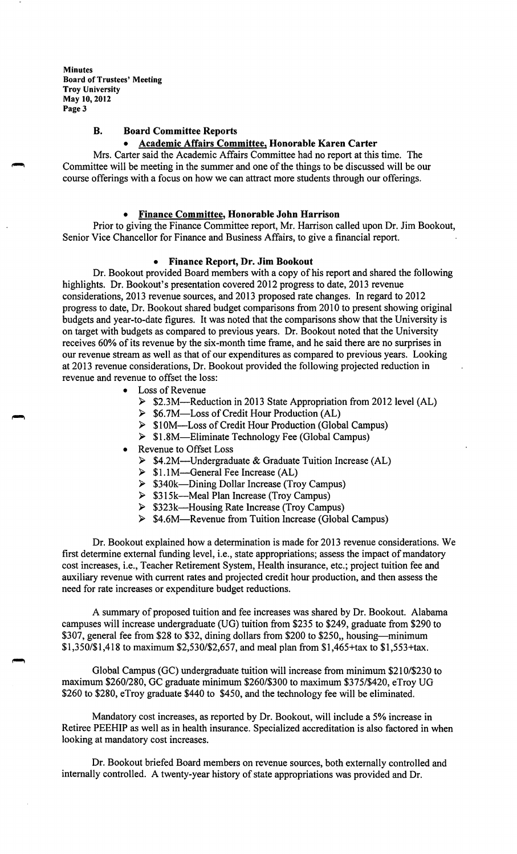# **B. Board Committee Reports**

# • **Academic Affairs Committee, Honorable Karen Carter**

Mrs. Carter said the Academic Affairs Committee had no report at this time. The Committee will be meeting in the summer and one of the things to be discussed will be our course offerings with a focus on how we can attract more students through our offerings.

#### • **Finance Committee, Honorable John Harrison**

Prior to giving the Finance Committee report, Mr. Harrison called upon Dr. Jim Bookout, Senior Vice Chancellor for Finance and Business Affairs, to give a financial report.

#### • **Finance Report, Dr. Jim Bookout**

Dr. Bookout provided Board members with a copy of his report and shared the following highlights. Dr. Bookout's presentation covered 2012 progress to date, 2013 revenue considerations, 2013 revenue sources, and 2013 proposed rate changes. In regard to 2012 progress to date, Dr. Bookout shared budget comparisons from 20 IO to present showing original budgets and year-to-date figures. It was noted that the comparisons show that the University is on target with budgets as compared to previous years. Dr. Bookout noted that the University receives 60% of its revenue by the six-month time frame, and he said there are no surprises in our revenue stream as well as that of our expenditures as compared to previous years. Looking at 2013 revenue considerations, Dr. Bookout provided the following projected reduction in revenue and revenue to offset the loss:

- Loss of Revenue
	- ► \$2.3M-Reduction in 2013 State Appropriation from 2012 level (AL)
	- ► \$6.7M-Loss of Credit Hour Production (AL)
	- ► \$10M-Loss of Credit Hour Production (Global Campus)
	- ► \$1.8M-Eliminate Technology Fee (Global Campus)
- Revenue to Offset Loss
	- ► \$4.2M-Undergraduate & Graduate Tuition Increase (AL)
	- ► \$LIM-General Fee Increase (AL)
	- ► \$340k-Dining Dollar Increase (Troy Campus)
	- ► \$3 l 5k-Meal Plan Increase (Troy Campus)
	- ► \$323k-Housing Rate Increase (Troy Campus)
	- ► \$4.6M-Revenue from Tuition Increase (Global Campus)

Dr. Bookout explained how a determination is made for 2013 revenue considerations. We first determine external funding level, i.e., state appropriations; assess the impact of mandatory cost increases, i.e., Teacher Retirement System, Health insurance, etc.; project tuition fee and auxiliary revenue with current rates and projected credit hour production, and then assess the need for rate increases or expenditure budget reductions.

A summary of proposed tuition and fee increases was shared by Dr. Bookout. Alabama campuses will increase undergraduate (UG) tuition from \$235 to \$249, graduate from \$290 to \$307, general fee from \$28 to \$32, dining dollars from \$200 to \$250,, housing—minimum \$1,350/\$1,418 to maximum \$2,530/\$2,657, and meal plan from \$1,465+tax to \$1,553+tax.

Global Campus (GC) undergraduate tuition will increase from minimum \$210/\$230 to maximum \$260/280, GC graduate minimum \$260/\$300 to maximum \$375/\$420, eTroy UG \$260 to \$280, eTroy graduate \$440 to \$450, and the technology fee will be eliminated.

Mandatory cost increases, as reported by Dr. Bookout, will include a 5% increase in Retiree PEEHIP as well as in health insurance. Specialized accreditation is also factored in when looking at mandatory cost increases.

Dr. Bookout briefed Board members on revenue sources, both externally controlled and internally controlled. A twenty-year history of state appropriations was provided and Dr.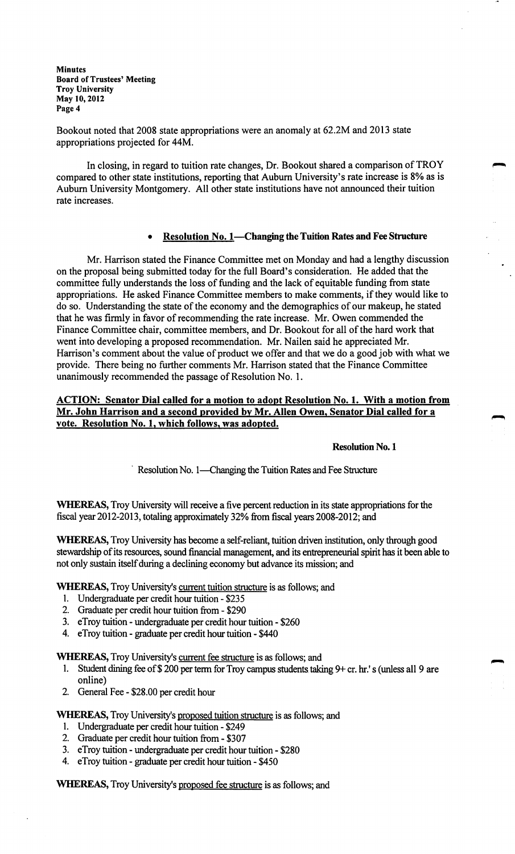Bookout noted that 2008 state appropriations were an anomaly at 62.2M and 2013 state appropriations projected for 44M.

In closing, in regard to tuition rate changes, Dr. Bookout shared a comparison of TROY compared to other state institutions, reporting that Auburn University's rate increase is 8% as is Auburn University Montgomery. All other state institutions have not announced their tuition rate increases.

## • **Resolution No. I-Changing the Tuition Rates and Fee Structure**

Mr. Harrison stated the Finance Committee met on Monday and had a lengthy discussion on the proposal being submitted today for the full Board's consideration. He added that the committee fully understands the loss of funding and the lack of equitable funding from state appropriations. He asked Finance Committee members to make comments, if they would like to do so. Understanding the state of the economy and the demographics of our makeup, he stated that he was firmly in favor of recommending the rate increase. Mr. Owen commended the Finance Committee chair, committee members, and Dr. Bookout for all of the hard work that went into developing a proposed recommendation. Mr. Nailen said he appreciated Mr. Harrison's comment about the value of product we offer and that we do a good job with what we provide. There being no further comments Mr. Harrison stated that the Finance Committee unanimously recommended the passage of Resolution No. 1.

# **ACTION: Senator Dial called for a motion to adopt Resolution No. 1. With a motion from Mr. John Harrison and a second provided by Mr. Allen Owen, Senator Dial called for a vote. Resolution No. 1, which follows, was adopted.**

**Resolution No. 1** 

<sup>Resolution No. 1—Changing the Tuition Rates and Fee Structure</sup>

**WHEREAS,**Troy University will receive a five percent reduction in its state appropriations for the fiscal year2012-2013, totaling approximately 32% from fiscal years 2008-2012; and

**WHEREAS,**Troy University has become a self-reliant, tuition driven institution, only through good stewardship of its resources, sound financial management, and its entrepreneurial spirit has it been able to not only sustain itself during a declining economy but advance its mission; and

**WHEREAS,**Troy University's current tuition structure is as follows; and

- I. Undergraduate per credit hour tuition \$235
- 2. Graduate per credit hour tuition from \$290
- 3. eTroy tuition undergraduate per credit hour tuition \$260
- 4. eTroy tuition graduate per credit hour tuition \$440

**WHEREAS,** Troy University's current fee structure is as follows; and

- 1. Student dining fee of \$200 per term for Troy campus students taking 9+ cr. hr.'s (unless all 9 are online)
- 2. General Fee \$28.00 per credit hour

**WHEREAS,**Troy University's proposed tuition structure is as follows; and

- 1. Undergraduate per credit hour tuition \$249
- 2. Graduate per credit hour tuition from \$307
- 3. eTroy tuition undergraduate per credit hour tuition \$280
- 4. eTroy tuition graduate per credit hour tuition \$450

**WHEREAS,**Troy University's proposed fee structure is as follows; and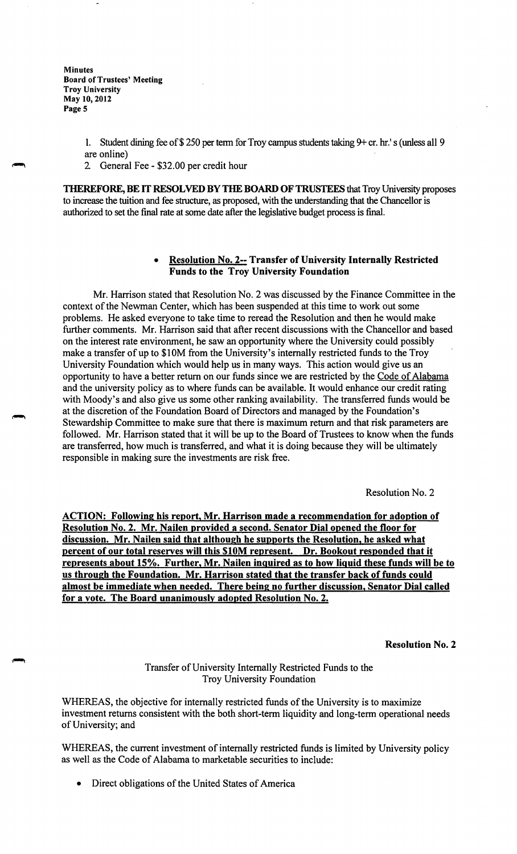- 1. Student dining fee of \$250 per term for Troy campus students taking 9+ cr. hr.'s (unless all 9 are online)
- 2 General Fee \$32.00 per credit hour

**THEREFORE, BE** IT **RESOLVED BY THE BOARD OF TRUSTEES** that Troy University proposes to increase the tuition and fee structure, as proposed, with the understanding that the Chancellor is authorized to set the final rate at some date after the legislative budget process is final.

# • **Resolution No. 2-- Transfer of University Internally Restricted Funds to the Troy University Foundation**

Mr. Harrison stated that Resolution No. 2 was discussed by the Finance Committee in the context of the Newman Center, which has been suspended at this time to work out some problems. He asked everyone to take time to reread the Resolution and then he would make further comments. Mr. Harrison said that after recent discussions with the Chancellor and based on the interest rate environment, he saw an opportunity where the University could possibly make a transfer of up to \$10M from the University's internally restricted funds to the Troy University Foundation which would help us in many ways. This action would give us an opportunity to have a better return on our funds since we are restricted by the Code of Alabama and the university policy as to where funds can be available. It would enhance our credit rating with Moody's and also give us some other ranking availability. The transferred funds would be at the discretion of the Foundation Board of Directors and managed by the Foundation's Stewardship Committee to make sure that there is maximum return and that risk parameters are followed. Mr. Harrison stated that it will be up to the Board of Trustees to know when the funds are transferred, how much is transferred, and what it is doing because they will be ultimately responsible in making sure the investments are risk free.

Resolution No. 2

**ACTION: Following his report, Mr. Harrison made a recommendation for adoption of Resolution No. 2. Mr. Nailen provided a second. Senator Dial opened the floor for discussion. Mr. Nailen said that although he supports the Resolution, he asked what percent of our total reserves will this \$10M represent. Dr. Bookout responded that it represents about 15%. Further, Mr. Nailen inquired as to how liquid these funds will be to us through the Foundation. Mr. Harrison stated that the transfer back of funds could almost be immediate when needed. There being no further discussion, Senator Dial called for a vote. The Board unanimously adopted Resolution No. 2.** 

**Resolution No. 2** 

Transfer of University Internally Restricted Funds to the Troy University Foundation

WHEREAS, the objective for internally restricted funds of the University is to maximize investment returns consistent with the both short-term liquidity and long-term operational needs of University; and

WHEREAS, the current investment of internally restricted funds is limited by University policy as well as the Code of Alabama to marketable securities to include:

• Direct obligations of the United States of America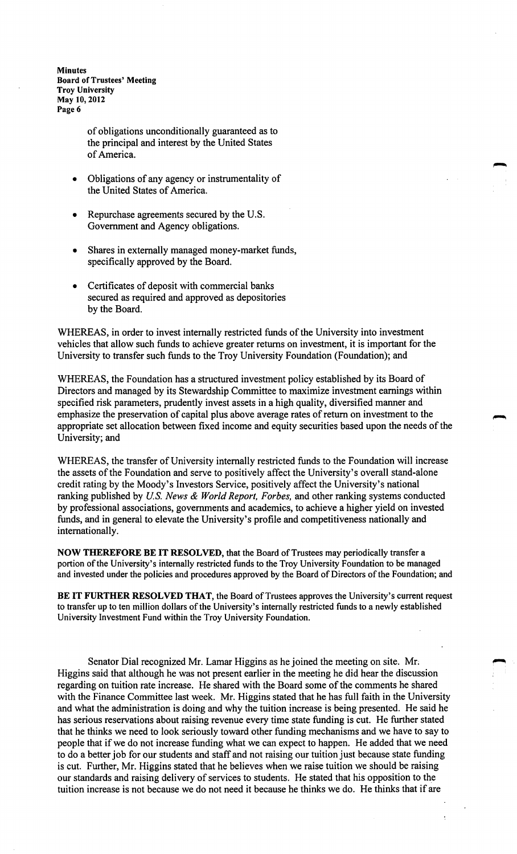> of obligations unconditionally guaranteed as to the principal and interest by the United States of America.

- Obligations of any agency or instrumentality of the United States of America.
- Repurchase agreements secured by the U.S. Government and Agency obligations.
- Shares in externally managed money-market funds, specifically approved by the Board.
- Certificates of deposit with commercial banks secured as required and approved as depositories by the Board.

WHEREAS, in order to invest internally restricted funds of the University into investment vehicles that allow such funds to achieve greater returns on investment, it is important for the University to transfer such funds to the Troy University Foundation (Foundation); and

WHEREAS, the Foundation has a structured investment policy established by its Board of Directors and managed by its Stewardship Committee to maximize investment earnings within specified risk parameters, prudently invest assets in a high quality, diversified manner and emphasize the preservation of capital plus above average rates of return on investment to the appropriate set allocation between fixed income and equity securities based upon the needs of the University; and

WHEREAS, the transfer of University internally restricted funds to the Foundation will increase the assets of the Foundation and serve to positively affect the University's overall stand-alone credit rating by the Moody's Investors Service, positively affect the University's national ranking published by *U.S. News & World Report, Forbes,* and other ranking systems conducted by professional associations, governments and academics, to achieve a higher yield on invested funds, and in general to elevate the University's profile and competitiveness nationally and internationally.

**NOW THEREFORE BE IT RESOLVED,** that the Board of Trustees may periodically transfer a portion of the University's internally restricted funds to the Troy University Foundation to be managed and invested under the policies and procedures approved by the Board of Directors of the Foundation; and

BE IT FURTHER RESOLVED THAT, the Board of Trustees approves the University's current request to transfer up to ten million dollars of the University's internally restricted funds to a newly established University Investment Fund within the Troy University Foundation.

Senator Dial recognized Mr. Lamar Higgins as he joined the meeting on site. Mr. Higgins said that although he was not present earlier in the meeting he did hear the discussion regarding on tuition rate increase. He shared with the Board some of the comments he shared with the Finance Committee last week. Mr. Higgins stated that he has full faith in the University and what the administration is doing and why the tuition increase is being presented. He said he has serious reservations about raising revenue every time state funding is cut. He further stated that he thinks we need to look seriously toward other funding mechanisms and we have to say to people that if we do not increase funding what we can expect to happen. He added that we need to do a better job for our students and staff and not raising our tuition just because state funding is cut. Further, Mr. Higgins stated that he believes when we raise tuition we should be raising our standards and raising delivery of services to students. He stated that his opposition to the tuition increase is not because we do not need it because he thinks we do. He thinks that if are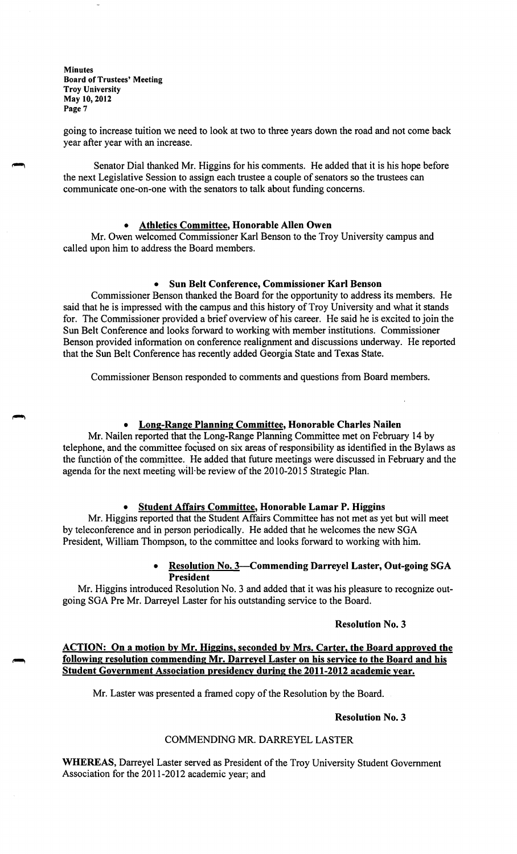going to increase tuition we need to look at two to three years down the road and not come back year after year with an increase.

Senator Dial thanked Mr. Higgins for his comments. He added that it is his hope before the next Legislative Session to assign each trustee a couple of senators so the trustees can communicate one-on-one with the senators to talk about funding concerns.

#### • **Athletics Committee, Honorable Allen Owen**

Mr. Owen welcomed Commissioner Karl Benson to the Troy University campus and called upon him to address the Board members.

#### • **Sun Belt Conference, Commissioner Karl Benson**

Commissioner Benson thanked the Board for the opportunity to address its members. He said that he is impressed with the campus and this history of Troy University and what it stands for. The Commissioner provided a brief overview of his career. He said he is excited to join the Sun Belt Conference and looks forward to working with member institutions. Commissioner Benson provided information on conference realignment and discussions underway. He reported that the Sun Belt Conference has recently added Georgia State and Texas State.

Commissioner Benson responded to comments and questions from Board members.

### • **Long-Range Planning Committee, Honorable Charles Nailen**

Mr. Nailen reported that the Long-Range Planning Committee met on February 14 by telephone, and the committee foqused on six areas of responsibility as identified in the Bylaws as the function of the committee. He added that future meetings were discussed in February and the agenda for the next meeting will-be review of the 2010-2015 Strategic Plan.

#### • **Student Affairs Committee, Honorable Lamar P. Higgins**

Mr. Higgins reported that the Student Affairs Committee has not met as yet but will meet by teleconference and in person periodically. He added that he welcomes the new SGA President, William Thompson, to the committee and looks forward to working with him.

#### • **Resolution No. 3-Commending Darreyel Laster, Out-going SGA President**

Mr. Higgins introduced Resolution No. 3 and added that it was his pleasure to recognize outgoing SGA Pre Mr. Darreyel Laster for his outstanding service to the Board.

#### **Resolution No. 3**

# **ACTION: On a motion by Mr. Higgins, seconded by Mrs. Carter, the Board approved the following resolution commending Mr. Darreyel Laster on his service to the Board and his Student Government Association presidency during the 2011-2012 academic year.**

Mr. Laster was presented a framed copy of the Resolution by the Board.

### **Resolution No. 3**

#### COMMENDING MR. DARREYEL LASTER

**WHEREAS,** Darreyel Laster served as President of the Troy University Student Government Association for the 2011-2012 academic year; and